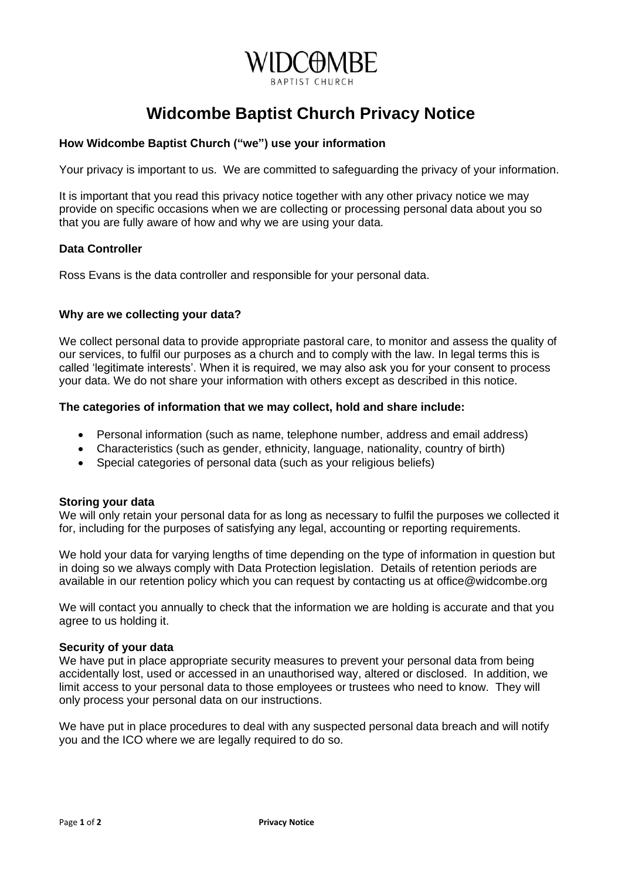

# **Widcombe Baptist Church Privacy Notice**

## **How Widcombe Baptist Church ("we") use your information**

Your privacy is important to us. We are committed to safeguarding the privacy of your information.

It is important that you read this privacy notice together with any other privacy notice we may provide on specific occasions when we are collecting or processing personal data about you so that you are fully aware of how and why we are using your data.

### **Data Controller**

Ross Evans is the data controller and responsible for your personal data.

### **Why are we collecting your data?**

We collect personal data to provide appropriate pastoral care, to monitor and assess the quality of our services, to fulfil our purposes as a church and to comply with the law. In legal terms this is called 'legitimate interests'. When it is required, we may also ask you for your consent to process your data. We do not share your information with others except as described in this notice.

### **The categories of information that we may collect, hold and share include:**

- Personal information (such as name, telephone number, address and email address)
- Characteristics (such as gender, ethnicity, language, nationality, country of birth)
- Special categories of personal data (such as your religious beliefs)

#### **Storing your data**

We will only retain your personal data for as long as necessary to fulfil the purposes we collected it for, including for the purposes of satisfying any legal, accounting or reporting requirements.

We hold your data for varying lengths of time depending on the type of information in question but in doing so we always comply with Data Protection legislation. Details of retention periods are available in our retention policy which you can request by contacting us at office@widcombe.org

We will contact you annually to check that the information we are holding is accurate and that you agree to us holding it.

#### **Security of your data**

We have put in place appropriate security measures to prevent your personal data from being accidentally lost, used or accessed in an unauthorised way, altered or disclosed. In addition, we limit access to your personal data to those employees or trustees who need to know. They will only process your personal data on our instructions.

We have put in place procedures to deal with any suspected personal data breach and will notify you and the ICO where we are legally required to do so.